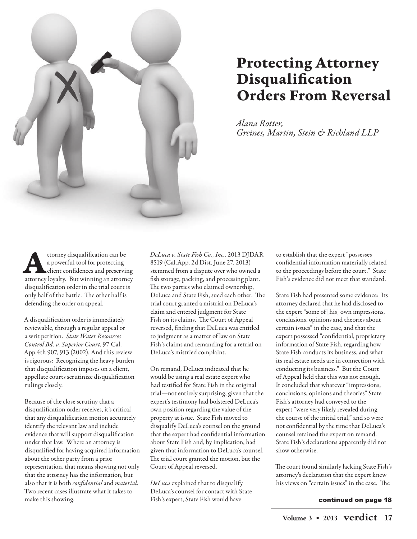

## Protecting Attorney Disqualification Orders From Reversal

Alana Rotter, Greines, Martin, Stein & Richland LLP

ttorney disqualification can be<br>a powerful tool for protecting<br>attorney loyalty. But winning an attorney ttorney disqualification can be a powerful tool for protecting client confidences and preserving disqualification order in the trial court is only half of the battle. The other half is defending the order on appeal.

A disqualification order is immediately reviewable, through a regular appeal or a writ petition. State Water Resources Control Bd. v. Superior Court, 97 Cal. App.4th 907, 913 (2002). And this review is rigorous: Recognizing the heavy burden that disqualification imposes on a client, appellate courts scrutinize disqualification rulings closely.

Because of the close scrutiny that a disqualification order receives, it's critical that any disqualification motion accurately identify the relevant law and include evidence that will support disqualification under that law. Where an attorney is disqualified for having acquired information about the other party from a prior representation, that means showing not only that the attorney has the information, but also that it is both *confidential* and *material*. Two recent cases illustrate what it takes to make this showing.

DeLuca v. State Fish Co., Inc., 2013 DJDAR 8519 (Cal.App. 2d Dist. June 27, 2013) stemmed from a dispute over who owned a fish storage, packing, and processing plant. The two parties who claimed ownership, DeLuca and State Fish, sued each other. The trial court granted a mistrial on DeLuca's claim and entered judgment for State Fish on its claims. The Court of Appeal reversed, finding that DeLuca was entitled to judgment as a matter of law on State Fish's claims and remanding for a retrial on DeLuca's mistried complaint.

On remand, DeLuca indicated that he would be using a real estate expert who had testified for State Fish in the original trial—not entirely surprising, given that the expert's testimony had bolstered DeLuca's own position regarding the value of the property at issue. State Fish moved to disqualify DeLuca's counsel on the ground that the expert had confidential information about State Fish and, by implication, had given that information to DeLuca's counsel. The trial court granted the motion, but the Court of Appeal reversed.

DeLuca explained that to disqualify DeLuca's counsel for contact with State Fish's expert, State Fish would have

to establish that the expert "possesses confidential information materially related to the proceedings before the court." State Fish's evidence did not meet that standard.

State Fish had presented some evidence: Its attorney declared that he had disclosed to the expert "some of [his] own impressions, conclusions, opinions and theories about certain issues" in the case, and that the expert possessed "confidential, proprietary information of State Fish, regarding how State Fish conducts its business, and what its real estate needs are in connection with conducting its business." But the Court of Appeal held that this was not enough. It concluded that whatever "impressions, conclusions, opinions and theories" State Fish's attorney had conveyed to the expert "were very likely revealed during the course of the initial trial," and so were not confidential by the time that DeLuca's counsel retained the expert on remand. State Fish's declarations apparently did not show otherwise.

The court found similarly lacking State Fish's attorney's declaration that the expert knew his views on "certain issues" in the case. The

## continued on page 18